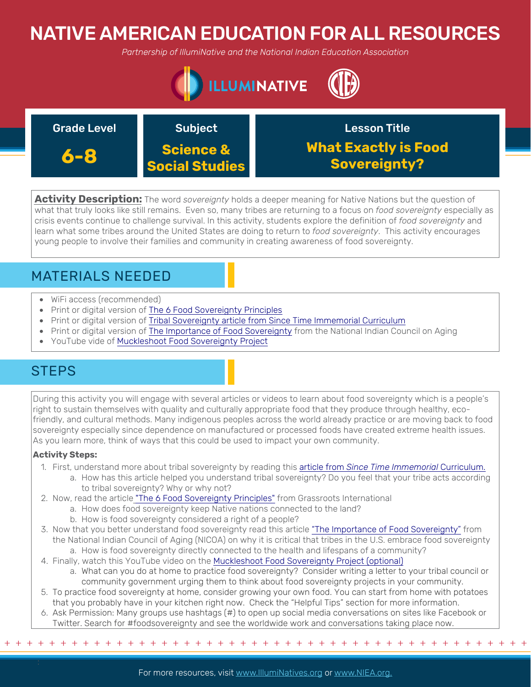# NATIVE AMERICAN EDUCATION FOR ALL RESOURCES

*Partnership of IllumiNative and the National Indian Education Association*



| <b>Grade Level</b> | <b>Subject</b>                                | <b>Lesson Title</b>                                |
|--------------------|-----------------------------------------------|----------------------------------------------------|
| 6-8                | <b>Science &amp;</b><br><b>Social Studies</b> | <b>What Exactly is Food</b><br><b>Sovereignty?</b> |

**Activity Description:** The word *sovereignty* holds a deeper meaning for Native Nations but the question of what that truly looks like still remains. Even so, many tribes are returning to a focus on *food sovereignty* especially as crisis events continue to challenge survival. In this activity, students explore the definition of *food sovereignty* and learn what some tribes around the United States are doing to return to *food sovereignty*. This activity encourages young people to involve their families and community in creating awareness of food sovereignty.

## MATERIALS NEEDED

- WiFi access (recommended)
- Print or digital version of [The 6 Food Sovereignty Principles](http://grassrootsonline.org/sites/default/files/The-6-Food-Sovereignty-Principles.pdf)
- Print or digital version of [Tribal Sovereignty article from Since Time Immemorial Curriculum](https://www.k12.wa.us/sites/default/files/public/indianed/tribalsovereignty/elementary/waelementary/waelementaryunit1/level1-materials/1onsovereigntyarticle.pdf)
- Print or digital version of [The Importance of Food Sovereignty](https://www.nicoa.org/the-importance-of-food-sovereignty/) from the National Indian Council on Aging
- YouTube vide of [Muckleshoot Food Sovereignty Project](https://www.youtube.com/watch?v=aDjSLxHoo5E)

## **STEPS**

During this activity you will engage with several articles or videos to learn about food sovereignty which is a people's right to sustain themselves with quality and culturally appropriate food that they produce through healthy, ecofriendly, and cultural methods. Many indigenous peoples across the world already practice or are moving back to food sovereignty especially since dependence on manufactured or processed foods have created extreme health issues. As you learn more, think of ways that this could be used to impact your own community.

### **Activity Steps:**

- 1. First, understand more about tribal sovereignty by reading this article from *[Since Time Immemorial](https://www.k12.wa.us/sites/default/files/public/indianed/tribalsovereignty/elementary/waelementary/waelementaryunit1/level1-materials/1onsovereigntyarticle.pdf)* Curriculum.
	- a. How has this article helped you understand tribal sovereignty? Do you feel that your tribe acts according to tribal sovereignty? Why or why not?
- 2. Now, read the article ["The 6 Food Sovereignty Principles"](http://grassrootsonline.org/sites/default/files/The-6-Food-Sovereignty-Principles.pdf) from Grassroots International
	- a. How does food sovereignty keep Native nations connected to the land?
		- b. How is food sovereignty considered a right of a people?
- 3. Now that you better understand food sovereignty read this article ["The Importance of Food Sovereignty"](https://www.nicoa.org/the-importance-of-food-sovereignty/) from the National Indian Council of Aging (NICOA) on why it is critical that tribes in the U.S. embrace food sovereignty a. How is food sovereignty directly connected to the health and lifespans of a community?
- 4. Finally, watch this YouTube video on the Muckleshoot Food Sovereignty Project (optional)
	- a. What can you do at home to practice food sovereignty? Consider writing a letter to your tribal council or community government urging them to think about food sovereignty projects in your community.
- 5. [To practice food sovereignty at home, consider growing your own food. You can start from home with potatoes](https://www.youtube.com/watch?v=aDjSLxHoo5E) that you probably have in your kitchen right now. Check the "Helpful Tips" section for more information.
- 6. Ask Permission: Many groups use hashtags (#) to open up social media conversations on sites like Facebook or Twitter. Search for #foodsovereignty and see the worldwide work and conversations taking place now.

+ + + + + + + + + + + + + + + + + + + + + + + + + + + + + + + + + + + + + + + + + + + + + + + +